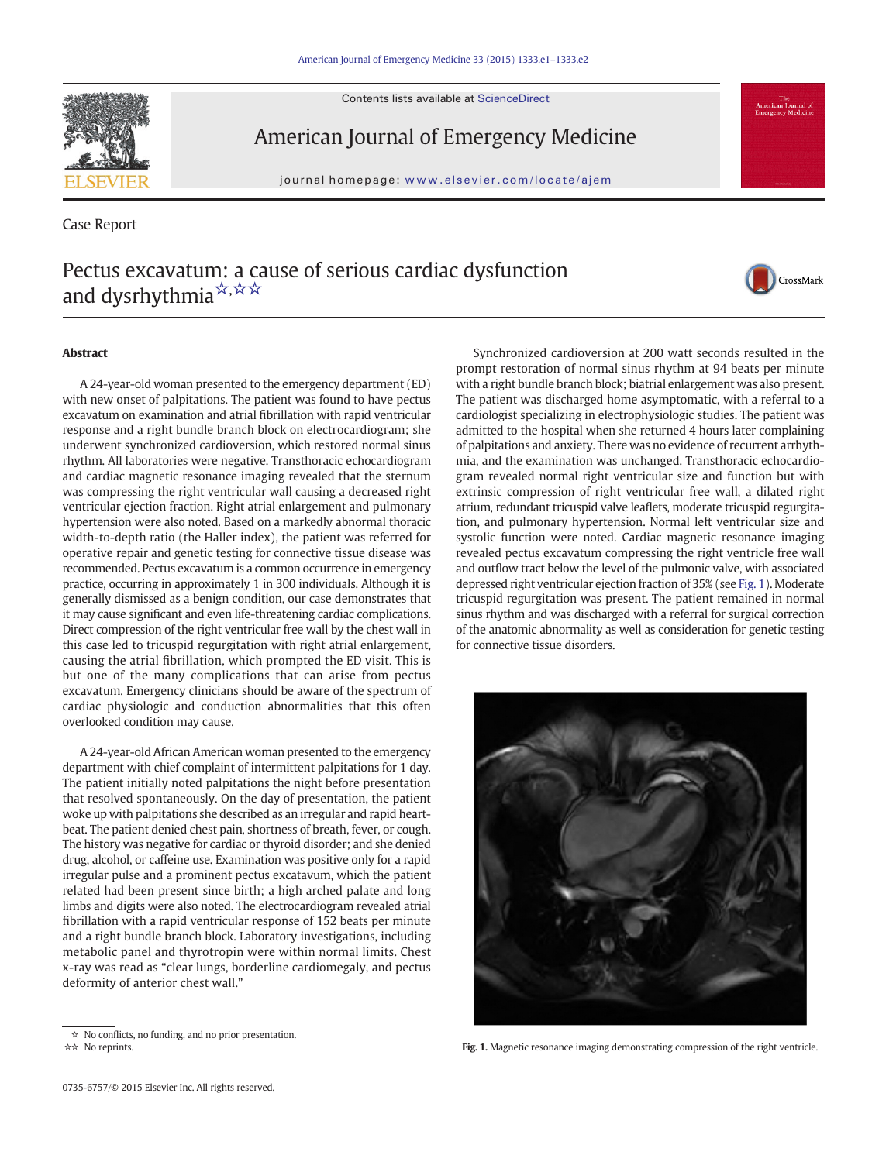Contents lists available at ScienceDirect



American Journal of Emergency Medicine

journal homepage: www.elsevier.com/locate/ajem

Case Report

## Pectus excavatum: a cause of serious cardiac dysfunction and dysrhythmia<sup>☆,☆☆</sup>



## **Abstract**

A 24-year-old woman presented to the emergency department (ED) with new onset of palpitations. The patient was found to have pectus excavatum on examination and atrial fibrillation with rapid ventricular response and a right bundle branch block on electrocardiogram; she underwent synchronized cardioversion, which restored normal sinus rhythm. All laboratories were negative. Transthoracic echocardiogram and cardiac magnetic resonance imaging revealed that the sternum was compressing the right ventricular wall causing a decreased right ventricular ejection fraction. Right atrial enlargement and pulmonary hypertension were also noted. Based on a markedly abnormal thoracic width-to-depth ratio (the Haller index), the patient was referred for operative repair and genetic testing for connective tissue disease was recommended. Pectus excavatum is a common occurrence in emergency practice, occurring in approximately 1 in 300 individuals. Although it is generally dismissed as a benign condition, our case demonstrates that it may cause significant and even life-threatening cardiac complications. Direct compression of the right ventricular free wall by the chest wall in this case led to tricuspid regurgitation with right atrial enlargement, causing the atrial fibrillation, which prompted the ED visit. This is but one of the many complications that can arise from pectus excavatum. Emergency clinicians should be aware of the spectrum of cardiac physiologic and conduction abnormalities that this often overlooked condition may cause.

A 24-year-old African American woman presented to the emergency department with chief complaint of intermittent palpitations for 1 day. The patient initially noted palpitations the night before presentation that resolved spontaneously. On the day of presentation, the patient woke up with palpitations she described as an irregular and rapid heartbeat. The patient denied chest pain, shortness of breath, fever, or cough. The history was negative for cardiac or thyroid disorder; and she denied drug, alcohol, or caffeine use. Examination was positive only for a rapid irregular pulse and a prominent pectus excatavum, which the patient related had been present since birth; a high arched palate and long limbs and digits were also noted. The electrocardiogram revealed atrial fibrillation with a rapid ventricular response of 152 beats per minute and a right bundle branch block. Laboratory investigations, including metabolic panel and thyrotropin were within normal limits. Chest x-ray was read as "clear lungs, borderline cardiomegaly, and pectus deformity of anterior chest wall."

0735-6757/© 2015 Elsevier Inc. All rights reserved.

Synchronized cardioversion at 200 watt seconds resulted in the prompt restoration of normal sinus rhythm at 94 beats per minute with a right bundle branch block; biatrial enlargement was also present. The patient was discharged home asymptomatic, with a referral to a cardiologist specializing in electrophysiologic studies. The patient was admitted to the hospital when she returned 4 hours later complaining of palpitations and anxiety. There was no evidence of recurrent arrhythmia, and the examination was unchanged. Transthoracic echocardiogram revealed normal right ventricular size and function but with extrinsic compression of right ventricular free wall, a dilated right atrium, redundant tricuspid valve leaflets, moderate tricuspid regurgitation, and pulmonary hypertension. Normal left ventricular size and systolic function were noted. Cardiac magnetic resonance imaging revealed pectus excavatum compressing the right ventricle free wall and outflow tract below the level of the pulmonic valve, with associated depressed right ventricular ejection fraction of 35% (see Fig. 1). Moderate tricuspid regurgitation was present. The patient remained in normal sinus rhythm and was discharged with a referral for surgical correction of the anatomic abnormality as well as consideration for genetic testing for connective tissue disorders.



☆☆ No reprints. Fig. 1. Magnetic resonance imaging demonstrating compression of the right ventricle.

<sup>☆</sup> No conflicts, no funding, and no prior presentation.